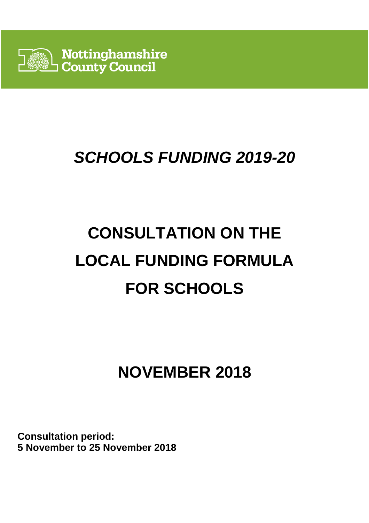

# **SCHOOLS FUNDING 2019-20**

# **CONSULTATION ON THE LOCAL FUNDING FORMULA FOR SCHOOLS**

# **NOVEMBER 2018**

**Consultation period: 5 November to 25 November 2018**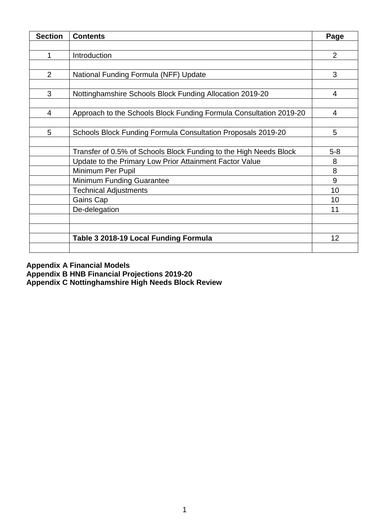| <b>Section</b> | <b>Contents</b>                                                    | Page           |
|----------------|--------------------------------------------------------------------|----------------|
|                |                                                                    |                |
| 1              | Introduction                                                       | $\overline{2}$ |
|                |                                                                    |                |
| $\overline{2}$ | National Funding Formula (NFF) Update                              | 3              |
|                |                                                                    |                |
| 3              | Nottinghamshire Schools Block Funding Allocation 2019-20           | 4              |
|                |                                                                    |                |
| 4              | Approach to the Schools Block Funding Formula Consultation 2019-20 | 4              |
|                |                                                                    |                |
| 5              | Schools Block Funding Formula Consultation Proposals 2019-20       | 5              |
|                |                                                                    |                |
|                | Transfer of 0.5% of Schools Block Funding to the High Needs Block  | $5 - 8$        |
|                | Update to the Primary Low Prior Attainment Factor Value            | 8              |
|                | Minimum Per Pupil                                                  | 8              |
|                | Minimum Funding Guarantee                                          | 9              |
|                | <b>Technical Adjustments</b>                                       | 10             |
|                | Gains Cap                                                          | 10             |
|                | De-delegation                                                      | 11             |
|                |                                                                    |                |
|                |                                                                    |                |
|                | Table 3 2018-19 Local Funding Formula                              | 12             |
|                |                                                                    |                |

**Appendix A Financial Models** 

**Appendix B HNB Financial Projections 2019-20** 

**Appendix C Nottinghamshire High Needs Block Review**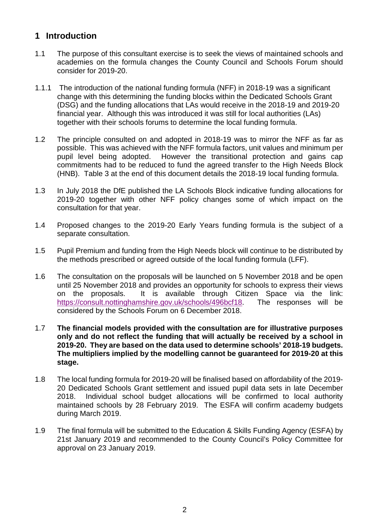# **1 Introduction**

- 1.1 The purpose of this consultant exercise is to seek the views of maintained schools and academies on the formula changes the County Council and Schools Forum should consider for 2019-20.
- 1.1.1 The introduction of the national funding formula (NFF) in 2018-19 was a significant change with this determining the funding blocks within the Dedicated Schools Grant (DSG) and the funding allocations that LAs would receive in the 2018-19 and 2019-20 financial year. Although this was introduced it was still for local authorities (LAs) together with their schools forums to determine the local funding formula.
- 1.2 The principle consulted on and adopted in 2018-19 was to mirror the NFF as far as possible. This was achieved with the NFF formula factors, unit values and minimum per pupil level being adopted. However the transitional protection and gains cap commitments had to be reduced to fund the agreed transfer to the High Needs Block (HNB). Table 3 at the end of this document details the 2018-19 local funding formula.
- 1.3 In July 2018 the DfE published the LA Schools Block indicative funding allocations for 2019-20 together with other NFF policy changes some of which impact on the consultation for that year.
- 1.4 Proposed changes to the 2019-20 Early Years funding formula is the subject of a separate consultation.
- 1.5 Pupil Premium and funding from the High Needs block will continue to be distributed by the methods prescribed or agreed outside of the local funding formula (LFF).
- 1.6 The consultation on the proposals will be launched on 5 November 2018 and be open until 25 November 2018 and provides an opportunity for schools to express their views on the proposals. It is available through Citizen Space via the link: https://consult.nottinghamshire.gov.uk/schools/496bcf18. The responses will be considered by the Schools Forum on 6 December 2018.
- 1.7 **The financial models provided with the consultation are for illustrative purposes only and do not reflect the funding that will actually be received by a school in 2019-20. They are based on the data used to determine schools' 2018-19 budgets. The multipliers implied by the modelling cannot be guaranteed for 2019-20 at this stage.**
- 1.8 The local funding formula for 2019-20 will be finalised based on affordability of the 2019- 20 Dedicated Schools Grant settlement and issued pupil data sets in late December 2018. Individual school budget allocations will be confirmed to local authority maintained schools by 28 February 2019. The ESFA will confirm academy budgets during March 2019.
- 1.9 The final formula will be submitted to the Education & Skills Funding Agency (ESFA) by 21st January 2019 and recommended to the County Council's Policy Committee for approval on 23 January 2019.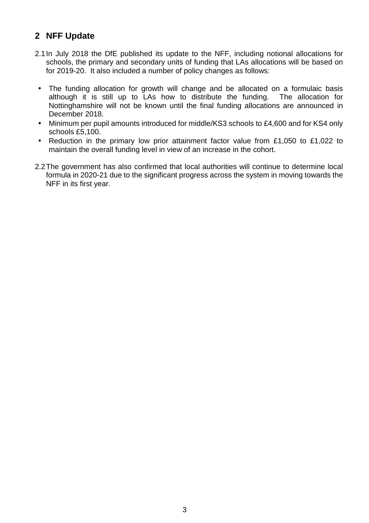# **2 NFF Update**

- 2.1 In July 2018 the DfE published its update to the NFF, including notional allocations for schools, the primary and secondary units of funding that LAs allocations will be based on for 2019-20. It also included a number of policy changes as follows:
- The funding allocation for growth will change and be allocated on a formulaic basis although it is still up to LAs how to distribute the funding. The allocation for Nottinghamshire will not be known until the final funding allocations are announced in December 2018.
- Minimum per pupil amounts introduced for middle/KS3 schools to £4,600 and for KS4 only schools £5,100.
- Reduction in the primary low prior attainment factor value from £1,050 to £1,022 to maintain the overall funding level in view of an increase in the cohort.
- 2.2 The government has also confirmed that local authorities will continue to determine local formula in 2020-21 due to the significant progress across the system in moving towards the NFF in its first year.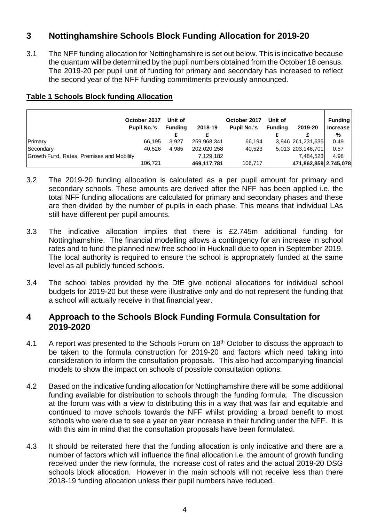# **3 Nottinghamshire Schools Block Funding Allocation for 2019-20**

3.1 The NFF funding allocation for Nottinghamshire is set out below. This is indicative because the quantum will be determined by the pupil numbers obtained from the October 18 census. The 2019-20 per pupil unit of funding for primary and secondary has increased to reflect the second year of the NFF funding commitments previously announced.

|                                           | October 2017<br><b>Pupil No.'s</b> | Unit of<br>Fundina | 2018-19     | October 2017<br><b>Pupil No.'s</b> | Unit of<br>Fundina | 2019-20               | <b>Funding</b><br><b>Increase</b><br>% |
|-------------------------------------------|------------------------------------|--------------------|-------------|------------------------------------|--------------------|-----------------------|----------------------------------------|
| Primary                                   | 66.195                             | 3.927              | 259.968.341 | 66.194                             |                    | 3,946 261,231,635     | 0.49                                   |
| Secondary                                 | 40.526                             | 4.985              | 202,020,258 | 40.523                             |                    | 5,013 203,146,701     | 0.57                                   |
| Growth Fund, Rates, Premises and Mobility |                                    |                    | 7,129,182   |                                    |                    | 7.484.523             | 4.98                                   |
|                                           | 106.721                            |                    | 469,117,781 | 106,717                            |                    | 471,862,859 2,745,078 |                                        |

#### **Table 1 Schools Block funding Allocation**

- 3.2 The 2019-20 funding allocation is calculated as a per pupil amount for primary and secondary schools. These amounts are derived after the NFF has been applied i.e. the total NFF funding allocations are calculated for primary and secondary phases and these are then divided by the number of pupils in each phase. This means that individual LAs still have different per pupil amounts.
- 3.3 The indicative allocation implies that there is £2.745m additional funding for Nottinghamshire. The financial modelling allows a contingency for an increase in school rates and to fund the planned new free school in Hucknall due to open in September 2019. The local authority is required to ensure the school is appropriately funded at the same level as all publicly funded schools.
- 3.4 The school tables provided by the DfE give notional allocations for individual school budgets for 2019-20 but these were illustrative only and do not represent the funding that a school will actually receive in that financial year.

#### **4 Approach to the Schools Block Funding Formula Consultation for 2019-2020**

- 4.1 A report was presented to the Schools Forum on 18<sup>th</sup> October to discuss the approach to be taken to the formula construction for 2019-20 and factors which need taking into consideration to inform the consultation proposals. This also had accompanying financial models to show the impact on schools of possible consultation options.
- 4.2 Based on the indicative funding allocation for Nottinghamshire there will be some additional funding available for distribution to schools through the funding formula. The discussion at the forum was with a view to distributing this in a way that was fair and equitable and continued to move schools towards the NFF whilst providing a broad benefit to most schools who were due to see a year on year increase in their funding under the NFF. It is with this aim in mind that the consultation proposals have been formulated.
- 4.3 It should be reiterated here that the funding allocation is only indicative and there are a number of factors which will influence the final allocation i.e. the amount of growth funding received under the new formula, the increase cost of rates and the actual 2019-20 DSG schools block allocation. However in the main schools will not receive less than there 2018-19 funding allocation unless their pupil numbers have reduced.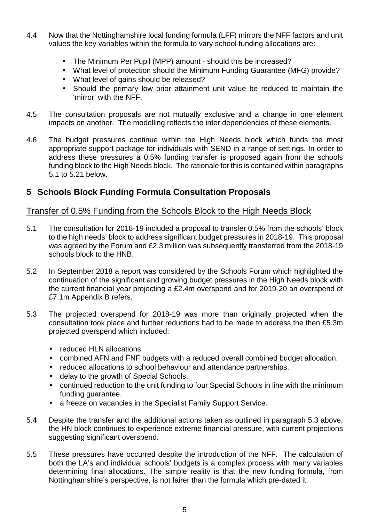- 4.4 Now that the Nottinghamshire local funding formula (LFF) mirrors the NFF factors and unit values the key variables within the formula to vary school funding allocations are:
	- The Minimum Per Pupil (MPP) amount should this be increased?
	- What level of protection should the Minimum Funding Guarantee (MFG) provide?
	- What level of gains should be released?
	- Should the primary low prior attainment unit value be reduced to maintain the 'mirror' with the NFF.
- 4.5 The consultation proposals are not mutually exclusive and a change in one element impacts on another. The modelling reflects the inter dependencies of these elements.
- 4.6 The budget pressures continue within the High Needs block which funds the most appropriate support package for individuals with SEND in a range of settings. In order to address these pressures a 0.5% funding transfer is proposed again from the schools funding block to the High Needs block. The rationale for this is contained within paragraphs 5.1 to 5.21 below.

# **5 Schools Block Funding Formula Consultation Proposals**

## Transfer of 0.5% Funding from the Schools Block to the High Needs Block

- 5.1 The consultation for 2018-19 included a proposal to transfer 0.5% from the schools' block to the high needs' block to address significant budget pressures in 2018-19. This proposal was agreed by the Forum and £2.3 million was subsequently transferred from the 2018-19 schools block to the HNB.
- 5.2 In September 2018 a report was considered by the Schools Forum which highlighted the continuation of the significant and growing budget pressures in the High Needs block with the current financial year projecting a £2.4m overspend and for 2019-20 an overspend of £7.1m Appendix B refers.
- 5.3 The projected overspend for 2018-19 was more than originally projected when the consultation took place and further reductions had to be made to address the then £5.3m projected overspend which included:
	- reduced HLN allocations.
	- combined AFN and FNF budgets with a reduced overall combined budget allocation.
	- reduced allocations to school behaviour and attendance partnerships.
	- delay to the growth of Special Schools.
	- continued reduction to the unit funding to four Special Schools in line with the minimum funding guarantee.
	- a freeze on vacancies in the Specialist Family Support Service.
- 5.4 Despite the transfer and the additional actions taken as outlined in paragraph 5.3 above, the HN block continues to experience extreme financial pressure, with current projections suggesting significant overspend.
- 5.5 These pressures have occurred despite the introduction of the NFF. The calculation of both the LA's and individual schools' budgets is a complex process with many variables determining final allocations. The simple reality is that the new funding formula, from Nottinghamshire's perspective, is not fairer than the formula which pre-dated it.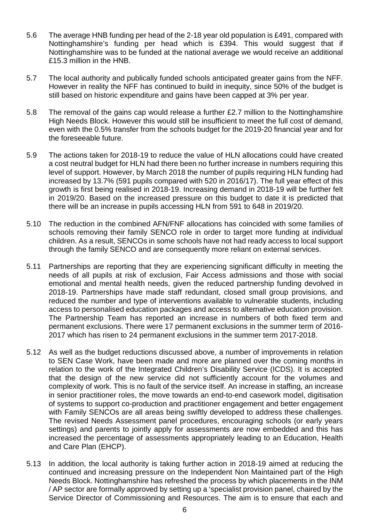- 5.6 The average HNB funding per head of the 2-18 year old population is £491, compared with Nottinghamshire's funding per head which is £394. This would suggest that if Nottinghamshire was to be funded at the national average we would receive an additional £15.3 million in the HNB.
- 5.7 The local authority and publically funded schools anticipated greater gains from the NFF. However in reality the NFF has continued to build in inequity, since 50% of the budget is still based on historic expenditure and gains have been capped at 3% per year.
- 5.8 The removal of the gains cap would release a further £2.7 million to the Nottinghamshire High Needs Block. However this would still be insufficient to meet the full cost of demand, even with the 0.5% transfer from the schools budget for the 2019-20 financial year and for the foreseeable future.
- 5.9 The actions taken for 2018-19 to reduce the value of HLN allocations could have created a cost neutral budget for HLN had there been no further increase in numbers requiring this level of support. However, by March 2018 the number of pupils requiring HLN funding had increased by 13.7% (591 pupils compared with 520 in 2016/17). The full year effect of this growth is first being realised in 2018-19. Increasing demand in 2018-19 will be further felt in 2019/20. Based on the increased pressure on this budget to date it is predicted that there will be an increase in pupils accessing HLN from 591 to 648 in 2019/20.
- 5.10 The reduction in the combined AFN/FNF allocations has coincided with some families of schools removing their family SENCO role in order to target more funding at individual children. As a result, SENCOs in some schools have not had ready access to local support through the family SENCO and are consequently more reliant on external services.
- 5.11 Partnerships are reporting that they are experiencing significant difficulty in meeting the needs of all pupils at risk of exclusion, Fair Access admissions and those with social emotional and mental health needs, given the reduced partnership funding devolved in 2018-19. Partnerships have made staff redundant, closed small group provisions, and reduced the number and type of interventions available to vulnerable students, including access to personalised education packages and access to alternative education provision. The Partnership Team has reported an increase in numbers of both fixed term and permanent exclusions. There were 17 permanent exclusions in the summer term of 2016- 2017 which has risen to 24 permanent exclusions in the summer term 2017-2018.
- 5.12 As well as the budget reductions discussed above, a number of improvements in relation to SEN Case Work, have been made and more are planned over the coming months in relation to the work of the Integrated Children's Disability Service (ICDS). It is accepted that the design of the new service did not sufficiently account for the volumes and complexity of work. This is no fault of the service itself. An increase in staffing, an increase in senior practitioner roles, the move towards an end-to-end casework model, digitisation of systems to support co-production and practitioner engagement and better engagement with Family SENCOs are all areas being swiftly developed to address these challenges. The revised Needs Assessment panel procedures, encouraging schools (or early years settings) and parents to jointly apply for assessments are now embedded and this has increased the percentage of assessments appropriately leading to an Education, Health and Care Plan (EHCP).
- 5.13 In addition, the local authority is taking further action in 2018-19 aimed at reducing the continued and increasing pressure on the Independent Non Maintained part of the High Needs Block. Nottinghamshire has refreshed the process by which placements in the INM / AP sector are formally approved by setting up a 'specialist provision panel, chaired by the Service Director of Commissioning and Resources. The aim is to ensure that each and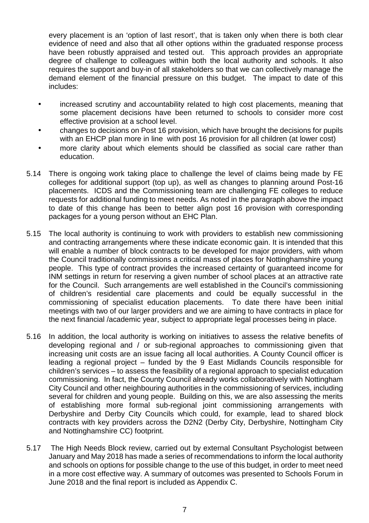every placement is an 'option of last resort', that is taken only when there is both clear evidence of need and also that all other options within the graduated response process have been robustly appraised and tested out. This approach provides an appropriate degree of challenge to colleagues within both the local authority and schools. It also requires the support and buy-in of all stakeholders so that we can collectively manage the demand element of the financial pressure on this budget. The impact to date of this includes:

- increased scrutiny and accountability related to high cost placements, meaning that some placement decisions have been returned to schools to consider more cost effective provision at a school level.
- changes to decisions on Post 16 provision, which have brought the decisions for pupils with an EHCP plan more in line with post 16 provision for all children (at lower cost)
- more clarity about which elements should be classified as social care rather than education.
- 5.14 There is ongoing work taking place to challenge the level of claims being made by FE colleges for additional support (top up), as well as changes to planning around Post-16 placements. ICDS and the Commissioning team are challenging FE colleges to reduce requests for additional funding to meet needs. As noted in the paragraph above the impact to date of this change has been to better align post 16 provision with corresponding packages for a young person without an EHC Plan.
- 5.15 The local authority is continuing to work with providers to establish new commissioning and contracting arrangements where these indicate economic gain. It is intended that this will enable a number of block contracts to be developed for major providers, with whom the Council traditionally commissions a critical mass of places for Nottinghamshire young people. This type of contract provides the increased certainty of guaranteed income for INM settings in return for reserving a given number of school places at an attractive rate for the Council. Such arrangements are well established in the Council's commissioning of children's residential care placements and could be equally successful in the commissioning of specialist education placements. To date there have been initial meetings with two of our larger providers and we are aiming to have contracts in place for the next financial /academic year, subject to appropriate legal processes being in place.
- 5.16 In addition, the local authority is working on initiatives to assess the relative benefits of developing regional and / or sub-regional approaches to commissioning given that increasing unit costs are an issue facing all local authorities. A County Council officer is leading a regional project – funded by the 9 East Midlands Councils responsible for children's services – to assess the feasibility of a regional approach to specialist education commissioning. In fact, the County Council already works collaboratively with Nottingham City Council and other neighbouring authorities in the commissioning of services, including several for children and young people. Building on this, we are also assessing the merits of establishing more formal sub-regional joint commissioning arrangements with Derbyshire and Derby City Councils which could, for example, lead to shared block contracts with key providers across the D2N2 (Derby City, Derbyshire, Nottingham City and Nottinghamshire CC) footprint.
- 5.17 The High Needs Block review, carried out by external Consultant Psychologist between January and May 2018 has made a series of recommendations to inform the local authority and schools on options for possible change to the use of this budget, in order to meet need in a more cost effective way. A summary of outcomes was presented to Schools Forum in June 2018 and the final report is included as Appendix C.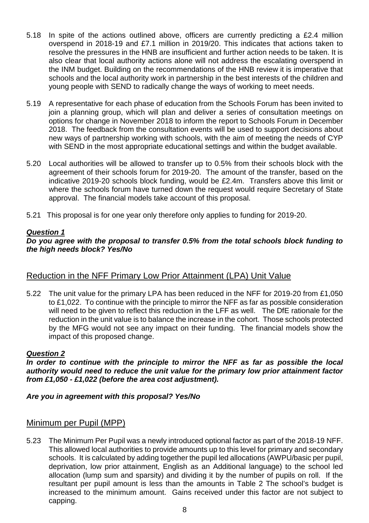- 5.18 In spite of the actions outlined above, officers are currently predicting a £2.4 million overspend in 2018-19 and £7.1 million in 2019/20. This indicates that actions taken to resolve the pressures in the HNB are insufficient and further action needs to be taken. It is also clear that local authority actions alone will not address the escalating overspend in the INM budget. Building on the recommendations of the HNB review it is imperative that schools and the local authority work in partnership in the best interests of the children and young people with SEND to radically change the ways of working to meet needs.
- 5.19 A representative for each phase of education from the Schools Forum has been invited to join a planning group, which will plan and deliver a series of consultation meetings on options for change in November 2018 to inform the report to Schools Forum in December 2018. The feedback from the consultation events will be used to support decisions about new ways of partnership working with schools, with the aim of meeting the needs of CYP with SEND in the most appropriate educational settings and within the budget available.
- 5.20 Local authorities will be allowed to transfer up to 0.5% from their schools block with the agreement of their schools forum for 2019-20. The amount of the transfer, based on the indicative 2019-20 schools block funding, would be £2.4m. Transfers above this limit or where the schools forum have turned down the request would require Secretary of State approval. The financial models take account of this proposal.
- 5.21 This proposal is for one year only therefore only applies to funding for 2019-20.

#### **Question 1**

#### **Do you agree with the proposal to transfer 0.5% from the total schools block funding to the high needs block? Yes/No**

#### Reduction in the NFF Primary Low Prior Attainment (LPA) Unit Value

5.22 The unit value for the primary LPA has been reduced in the NFF for 2019-20 from £1,050 to £1,022. To continue with the principle to mirror the NFF as far as possible consideration will need to be given to reflect this reduction in the LFF as well. The DfE rationale for the reduction in the unit value is to balance the increase in the cohort. Those schools protected by the MFG would not see any impact on their funding. The financial models show the impact of this proposed change.

#### **Question 2**

**In order to continue with the principle to mirror the NFF as far as possible the local authority would need to reduce the unit value for the primary low prior attainment factor from £1,050 - £1,022 (before the area cost adjustment).** 

#### **Are you in agreement with this proposal? Yes/No**

#### Minimum per Pupil (MPP)

5.23 The Minimum Per Pupil was a newly introduced optional factor as part of the 2018-19 NFF. This allowed local authorities to provide amounts up to this level for primary and secondary schools. It is calculated by adding together the pupil led allocations (AWPU/basic per pupil, deprivation, low prior attainment, English as an Additional language) to the school led allocation (lump sum and sparsity) and dividing it by the number of pupils on roll. If the resultant per pupil amount is less than the amounts in Table 2 The school's budget is increased to the minimum amount. Gains received under this factor are not subject to capping.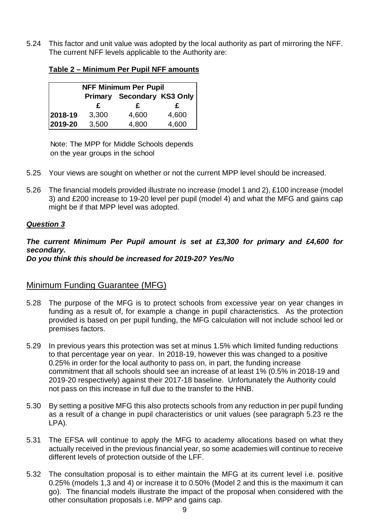5.24 This factor and unit value was adopted by the local authority as part of mirroring the NFF. The current NFF levels applicable to the Authority are:

| <b>NFF Minimum Per Pupil</b> |                            |       |       |  |
|------------------------------|----------------------------|-------|-------|--|
|                              | Primary Secondary KS3 Only |       |       |  |
|                              | £                          | £     | £     |  |
| 2018-19                      | 3,300                      | 4,600 | 4,600 |  |
| 2019-20                      | 3,500                      | 4,800 | 4,600 |  |

**Table 2 – Minimum Per Pupil NFF amounts** 

Note: The MPP for Middle Schools depends on the year groups in the school

- 5.25 Your views are sought on whether or not the current MPP level should be increased.
- 5.26 The financial models provided illustrate no increase (model 1 and 2), £100 increase (model 3) and £200 increase to 19-20 level per pupil (model 4) and what the MFG and gains cap might be if that MPP level was adopted.

#### **Question 3**

**The current Minimum Per Pupil amount is set at £3,300 for primary and £4,600 for secondary. Do you think this should be increased for 2019-20? Yes/No** 

#### Minimum Funding Guarantee (MFG)

- 5.28 The purpose of the MFG is to protect schools from excessive year on year changes in funding as a result of, for example a change in pupil characteristics. As the protection provided is based on per pupil funding, the MFG calculation will not include school led or premises factors.
- 5.29 In previous years this protection was set at minus 1.5% which limited funding reductions to that percentage year on year. In 2018-19, however this was changed to a positive 0.25% in order for the local authority to pass on, in part, the funding increase commitment that all schools should see an increase of at least 1% (0.5% in 2018-19 and 2019-20 respectively) against their 2017-18 baseline. Unfortunately the Authority could not pass on this increase in full due to the transfer to the HNB.
- 5.30 By setting a positive MFG this also protects schools from any reduction in per pupil funding as a result of a change in pupil characteristics or unit values (see paragraph 5.23 re the LPA).
- 5.31 The EFSA will continue to apply the MFG to academy allocations based on what they actually received in the previous financial year, so some academies will continue to receive different levels of protection outside of the LFF.
- 5.32 The consultation proposal is to either maintain the MFG at its current level i.e. positive 0.25% (models 1,3 and 4) or increase it to 0.50% (Model 2 and this is the maximum it can go). The financial models illustrate the impact of the proposal when considered with the other consultation proposals i.e. MPP and gains cap.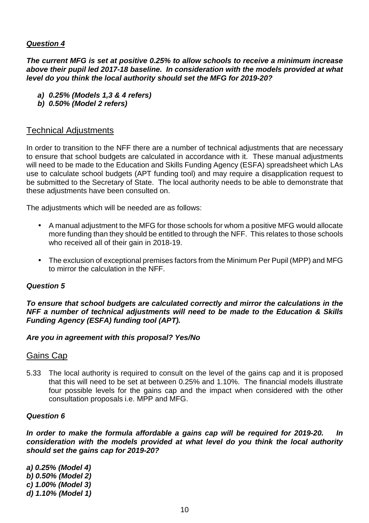#### **Question 4**

**The current MFG is set at positive 0.25% to allow schools to receive a minimum increase above their pupil led 2017-18 baseline. In consideration with the models provided at what level do you think the local authority should set the MFG for 2019-20?** 

- **a) 0.25% (Models 1,3 & 4 refers)**
- **b) 0.50% (Model 2 refers)**

#### Technical Adjustments

In order to transition to the NFF there are a number of technical adjustments that are necessary to ensure that school budgets are calculated in accordance with it. These manual adjustments will need to be made to the Education and Skills Funding Agency (ESFA) spreadsheet which LAs use to calculate school budgets (APT funding tool) and may require a disapplication request to be submitted to the Secretary of State. The local authority needs to be able to demonstrate that these adjustments have been consulted on.

The adjustments which will be needed are as follows:

- A manual adjustment to the MFG for those schools for whom a positive MFG would allocate more funding than they should be entitled to through the NFF. This relates to those schools who received all of their gain in 2018-19.
- The exclusion of exceptional premises factors from the Minimum Per Pupil (MPP) and MFG to mirror the calculation in the NFF.

#### **Question 5**

**To ensure that school budgets are calculated correctly and mirror the calculations in the NFF a number of technical adjustments will need to be made to the Education & Skills Funding Agency (ESFA) funding tool (APT).** 

#### **Are you in agreement with this proposal? Yes/No**

#### Gains Cap

5.33 The local authority is required to consult on the level of the gains cap and it is proposed that this will need to be set at between 0.25% and 1.10%. The financial models illustrate four possible levels for the gains cap and the impact when considered with the other consultation proposals i.e. MPP and MFG.

#### **Question 6**

**In order to make the formula affordable a gains cap will be required for 2019-20. In consideration with the models provided at what level do you think the local authority should set the gains cap for 2019-20?** 

**a) 0.25% (Model 4) b) 0.50% (Model 2) c) 1.00% (Model 3) d) 1.10% (Model 1)**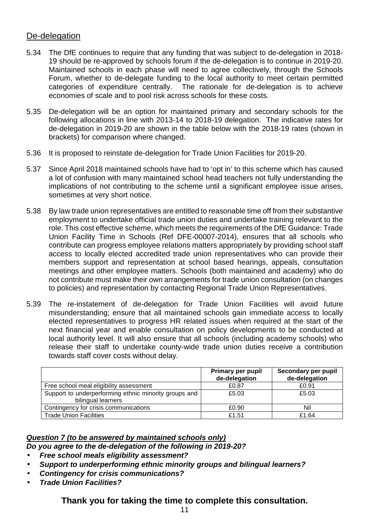#### De-delegation

- 5.34 The DfE continues to require that any funding that was subject to de-delegation in 2018- 19 should be re-approved by schools forum if the de-delegation is to continue in 2019-20. Maintained schools in each phase will need to agree collectively, through the Schools Forum, whether to de-delegate funding to the local authority to meet certain permitted categories of expenditure centrally. The rationale for de-delegation is to achieve economies of scale and to pool risk across schools for these costs.
- 5.35 De-delegation will be an option for maintained primary and secondary schools for the following allocations in line with 2013-14 to 2018-19 delegation. The indicative rates for de-delegation in 2019-20 are shown in the table below with the 2018-19 rates (shown in brackets) for comparison where changed.
- 5.36 It is proposed to reinstate de-delegation for Trade Union Facilities for 2019-20.
- 5.37 Since April 2018 maintained schools have had to 'opt in' to this scheme which has caused a lot of confusion with many maintained school head teachers not fully understanding the implications of not contributing to the scheme until a significant employee issue arises, sometimes at very short notice.
- 5.38 By law trade union representatives are entitled to reasonable time off from their substantive employment to undertake official trade union duties and undertake training relevant to the role. This cost effective scheme, which meets the requirements of the DfE Guidance: Trade Union Facility Time in Schools (Ref DFE-00007-2014), ensures that all schools who contribute can progress employee relations matters appropriately by providing school staff access to locally elected accredited trade union representatives who can provide their members support and representation at school based hearings, appeals, consultation meetings and other employee matters. Schools (both maintained and academy) who do not contribute must make their own arrangements for trade union consultation (on changes to policies) and representation by contacting Regional Trade Union Representatives.
- 5.39 The re-instatement of de-delegation for Trade Union Facilities will avoid future misunderstanding; ensure that all maintained schools gain immediate access to locally elected representatives to progress HR related issues when required at the start of the next financial year and enable consultation on policy developments to be conducted at local authority level. It will also ensure that all schools (including academy schools) who release their staff to undertake county-wide trade union duties receive a contribution towards staff cover costs without delay.

|                                                                             | <b>Primary per pupil</b><br>de-delegation | Secondary per pupil<br>de-delegation |
|-----------------------------------------------------------------------------|-------------------------------------------|--------------------------------------|
| Free school meal eligibility assessment                                     | £0.87                                     | £0.91                                |
| Support to underperforming ethnic minority groups and<br>bilingual learners | £5.03                                     | £5.03                                |
| Contingency for crisis communications                                       | £0.90                                     | Nil                                  |
| <b>Trade Union Facilities</b>                                               | £1.51                                     | £1.64                                |

# **Question 7 (to be answered by maintained schools only)**

- **Do you agree to the de-delegation of the following in 2019-20?**
- **Free school meals eligibility assessment?**
- **Support to underperforming ethnic minority groups and bilingual learners?**
- **Contingency for crisis communications?**
- **Trade Union Facilities?**

### **Thank you for taking the time to complete this consultation.**